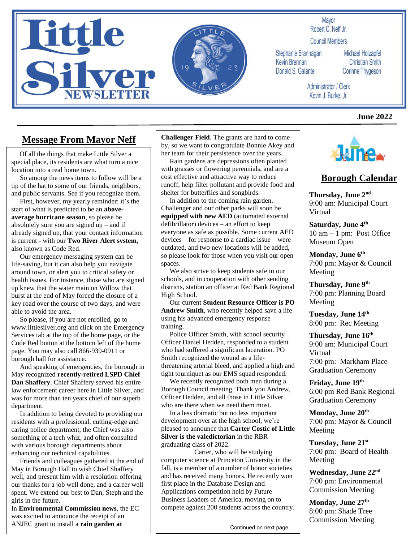



#### Mavor Robert C. Neff Jr.

**Council Members** 

Stephanie Brannagan Kevin Brennan Donald S. Galante

Michael Holzapfel **Christian Smith** Corinne Thygeson

Administrator / Clerk Kevin J. Burke, Jr.

#### **June 2022**

### **Message From Mayor Neff**

 Of all the things that make Little Silver a special place, its residents are what turn a nice location into a real home town.

 So among the news items to follow will be a tip of the hat to some of our friends, neighbors, and public servants. See if you recognize them.

 First, however, my yearly reminder: it's the start of what is predicted to be an **aboveaverage hurricane season**, so please be absolutely sure you are signed  $up$  – and if already signed up, that your contact information is current - with our **Two River Alert system**, also known as Code Red.

 Our emergency messaging system can be life-saving, but it can also help you navigate around town, or alert you to critical safety or health issues. For instance, those who are signed up knew that the water main on Willow that burst at the end of May forced the closure of a key road over the course of two days, and were able to avoid the area.

 So please, if you are not enrolled, go to www.littlesilver.org and click on the Emergency Services tab at the top of the home page, or the Code Red button at the bottom left of the home page. You may also call 866-939-0911 or borough hall for assistance.

 And speaking of emergencies, the borough in May recognized **recently-retired LSPD Chief Dan Shaffery**. Chief Shaffery served his entire law enforcement career here in Little Silver, and was for more than ten years chief of our superb department.

 In addition to being devoted to providing our residents with a professional, cutting-edge and caring police department, the Chief was also something of a tech whiz, and often consulted with various borough departments about enhancing our technical capabilities.

 Friends and colleagues gathered at the end of May in Borough Hall to wish Chief Shaffery well, and present him with a resolution offering our thanks for a job well done, and a career well spent. We extend our best to Dan, Steph and the girls in the future.

In **Environmental Commission news**, the EC was excited to announce the receipt of an ANJEC grant to install a **rain garden at**

**Challenger Field**. The grants are hard to come by, so we want to congratulate Bonnie Akey and her team for their persistence over the years.

 Rain gardens are depressions often planted with grasses or flowering perennials, and are a cost effective and attractive way to reduce runoff, help filter pollutant and provide food and shelter for butterflies and songbirds.

 In addition to the coming rain garden, Challenger and our other parks will soon be **equipped with new AED** (automated external defibrillator) devices – an effort to keep everyone as safe as possible. Some current AED devices – for response to a cardiac issue – were outdated, and two new locations will be added, so please look for those when you visit our open spaces.

 We also strive to keep students safe in our schools, and in cooperation with other sending districts, station an officer at Red Bank Regional High School.

 Our current **Student Resource Officer is PO Andrew Smith**, who recently helped save a life using his advanced emergency response training.

 Police Officer Smith, with school security Officer Daniel Hedden, responded to a student who had suffered a significant laceration. PO Smith recognized the wound as a lifethreatening arterial bleed, and applied a high and tight tourniquet as our EMS squad responded.

 We recently recognized both men during a Borough Council meeting. Thank you Andrew, Officer Hedden, and all those in Little Silver who are there when we need them most.

 In a less dramatic but no less important development over at the high school, we're pleased to announce that **Carter Costic of Little Silver is the valedictorian** in the RBR graduating class of 2022.

 Carter, who will be studying computer science at Princeton University in the fall, is a member of a number of honor societies and has received many honors. He recently won first place in the Database Design and Applications competition held by Future Business Leaders of America, moving on to compete against 200 students across the country.



### **Borough Calendar**

**Thursday, June 2nd** 9:00 am: Municipal Court Virtual

**Saturday, June 4th** 10 am – 1 pm: Post Office Museum Open

**Monday, June 6th** 7:00 pm: Mayor & Council Meeting

**Thursday, June 9th** 7:00 pm: Planning Board Meeting

**Tuesday, June 14th** 8:00 pm: Rec Meeting

**Thursday, June 16 th**  9:00 am: Municipal Court Virtual 7:00 pm: Markham Place Graduation Ceremony

**Friday, June 19th** 6:00 pm Red Bank Regional Graduation Ceremony

**Monday, June 20 th** 7:00 pm: Mayor & Council Meeting

**Tuesday, June 21 st** 7:00 pm: Board of Health Meeting

**Wednesday, June 22 nd** 7:00 pm: Environmental Commission Meeting

**Monday, June 27th** 8:00 pm: Shade Tree Commission Meeting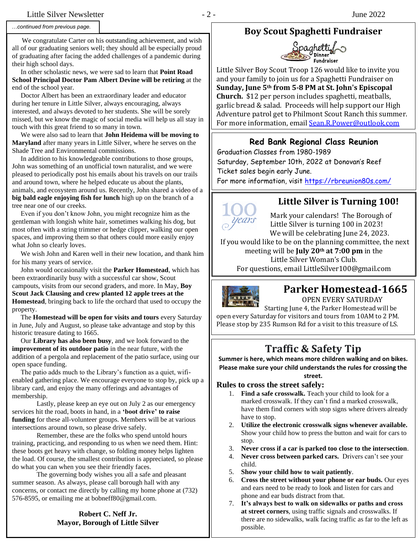#### *…continued from previous page.*

 We congratulate Carter on his outstanding achievement, and wish all of our graduating seniors well; they should all be especially proud of graduating after facing the added challenges of a pandemic during their high school days.

 In other scholastic news, we were sad to learn that **Point Road School Principal Doctor Pam Albert Devine will be retiring** at the end of the school year.

 Doctor Albert has been an extraordinary leader and educator during her tenure in Little Silver, always encouraging, always interested, and always devoted to her students. She will be sorely missed, but we know the magic of social media will help us all stay in touch with this great friend to so many in town.

 We were also sad to learn that **John Heidema will be moving to Maryland** after many years in Little Silver, where he serves on the Shade Tree and Environmental commissions.

 In addition to his knowledgeable contributions to those groups, John was something of an unofficial town naturalist, and we were pleased to periodically post his emails about his travels on our trails and around town, where he helped educate us about the plants, animals, and ecosystem around us. Recently, John shared a video of a **big bald eagle enjoying fish for lunch** high up on the branch of a tree near one of our creeks.

 Even if you don't know John, you might recognize him as the gentleman with longish white hair, sometimes walking his dog, but most often with a string trimmer or hedge clipper, walking our open spaces, and improving them so that others could more easily enjoy what John so clearly loves.

 We wish John and Karen well in their new location, and thank him for his many years of service.

 John would occasionally visit the **Parker Homestead**, which has been extraordinarily busy with a successful car show, Scout campouts, visits from our second graders, and more. In May, **Boy Scout Jack Clausing and crew planted 12 apple trees at the Homestead**, bringing back to life the orchard that used to occupy the property.

 The **Homestead will be open for visits and tours** every Saturday in June, July and August, so please take advantage and stop by this historic treasure dating to 1665.

 Our **Library has also been busy**, and we look forward to the **improvement of its outdoor patio** in the near future, with the addition of a pergola and replacement of the patio surface, using our open space funding.

 The patio adds much to the Library's function as a quiet, wifienabled gathering place. We encourage everyone to stop by, pick up a library card, and enjoy the many offerings and advantages of membership.

Lastly, please keep an eye out on July 2 as our emergency services hit the road, boots in hand, in a **'boot drive' to raise funding** for these all-volunteer groups. Members will be at various intersections around town, so please drive safely.

Remember, these are the folks who spend untold hours training, practicing, and responding to us when we need them. Hint: these boots get heavy with change, so folding money helps lighten the load. Of course, the smallest contribution is appreciated, so please do what you can when you see their friendly faces.

The governing body wishes you all a safe and pleasant summer season. As always, please call borough hall with any concerns, or contact me directly by calling my home phone at (732) 576-8595, or emailing me at bobneff80@gmail.com.

#### **Robert C. Neff Jr. Mayor, Borough of Little Silver**

### **Boy Scout Spaghetti Fundraiser**



Little Silver Boy Scout Troop 126 would like to invite you and your family to join us for a Spaghetti Fundraiser on **Sunday, June 5th from 5-8 PM at St. John's Episcopal Church.** \$12 per person includes spaghetti, meatballs, garlic bread & salad. Proceeds will help support our High Adventure patrol get to Philmont Scout Ranch this summer. For more information, emai[l Sean.R.Power@outlook.com](mailto:Sean.R.Power@outlook.com)

#### **Red Bank Regional Class Reunion**

Graduation Classes from 1980-1989

Saturday, September 10th, 2022 at Donovan's Reef Ticket sales begin early June.

For more information, visit [https://rbreunion80s.com/](https://urldefense.proofpoint.com/v2/url?u=https-3A__rbreunion80s.com_&d=DwMFaQ&c=euGZstcaTDllvimEN8b7jXrwqOf-v5A_CdpgnVfiiMM&r=O70xbxszWfW25-Yw9GHUBCao3v7SciTcrCqzrwPiIrA&m=9Y1ozKN3vU07E0gB10i9penuxwAmrtsaXkrrveTsIn0&s=FJ8zsEmHuxEY2CgAGiDuU66csc8Ss-QhnFVjw1b823E&e=)

# Saturday September 10th, 2022

### **Little Silver is Turning 100!**

Mark your calendars! The Borough of Little Silver is turning 100 in 2023! We will be celebrating June 24, 2023.

If you would like to be on the planning committee, the next meeting will be **July 20th at 7:00 pm** in the Little Silver Woman's Club. For questions, email LittleSilver100@gmail.com



### **Parker Homestead-1665**

OPEN EVERY SATURDAY

 Starting June 4, the Parker Homestead will be open every Saturday for visitors and tours from 10AM to 2 PM. Please stop by 235 Rumson Rd for a visit to this treasure of LS.

## **Traffic & Safety Tip**

**Summer is here, which means more children walking and on bikes. Please make sure your child understands the rules for crossing the street.**

### **Rules to cross the street safely:**

- 1. **Find a safe crosswalk.** Teach your child to look for a marked crosswalk. If they can't find a marked crosswalk, have them find corners with stop signs where drivers already have to stop.
- 2. **Utilize the electronic crosswalk signs whenever available.**  Show your child how to press the button and wait for cars to stop.
- 3. **Never cross if a car is parked too close to the intersection**.
- 4. **Never cross between parked cars.** Drivers can't see your child.
- 5. **Show your child how to wait patiently**.
- 6. **Cross the street without your phone or ear buds.** Our eyes and ears need to be ready to look and listen for cars and phone and ear buds distract from that.
- 7. **It's always best to walk on sidewalks or paths and cross at street corners**, using traffic signals and crosswalks. If there are no sidewalks, walk facing traffic as far to the left as possible.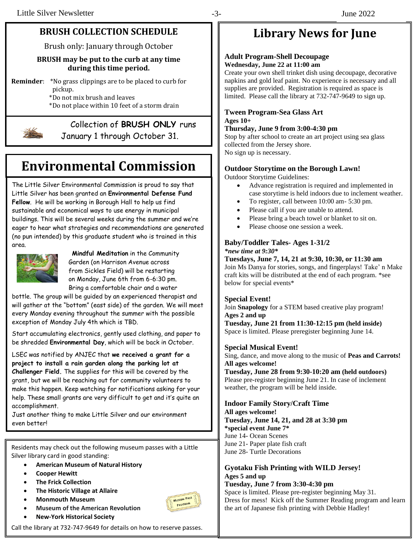### **BRUSH COLLECTION SCHEDULE**

Brush only: January through October

#### **BRUSH may be put to the curb at any time during this time period.**

**Reminder**: \*No grass clippings are to be placed to curb for pickup.

 \*Do not mix brush and leaves \*Do not place within 10 feet of a storm drain



# Collection of **BRUSH ONLY** runs

January 1 through October 31.

# **Environmental Commission**

The Little Silver Environmental Commission is proud to say that Little Silver has been granted an **Environmental Defense Fund Fellow**. He will be working in Borough Hall to help us find sustainable and economical ways to use energy in municipal buildings. This will be several weeks during the summer and we're eager to hear what strategies and recommendations are generated (no pun intended) by this graduate student who is trained in this area.



 **Mindful Meditation** in the Community Garden (on Harrison Avenue across from Sickles Field) will be restarting on Monday, June 6th from 6-6:30 pm. Bring a comfortable chair and a water

bottle. The group will be guided by an experienced therapist and will gather at the "bottom" (east side) of the garden. We will meet every Monday evening throughout the summer with the possible exception of Monday July 4th which is TBD.

Start accumulating electronics, gently used clothing, and paper to be shredded **Environmental Day**, which will be back in October.

LSEC was notified by ANJEC that **we received a grant for a project to install a rain garden along the parking lot at Challenger Field.** The supplies for this will be covered by the grant, but we will be reaching out for community volunteers to make this happen. Keep watching for notifications asking for your help. These small grants are very difficult to get and it's quite an accomplishment.

Just another thing to make Little Silver and our environment even better!

Residents may check out the following museum passes with a Little Silver library card in good standing:

- **American Museum of Natural History**
- **Cooper Hewitt**
- **The Frick Collection**
- **The Historic Village at Allaire**
- **Monmouth Museum**
- **Museum of the American Revolution**
- **New-York Historical Society**



# **Library News for June**

#### **Adult Program-Shell Decoupage Wednesday, June 22 at 11:00 am**

Create your own shell trinket dish using decoupage, decorative napkins and gold leaf paint. No experience is necessary and all supplies are provided. Registration is required as space is limited. Please call the library at 732-747-9649 to sign up.

#### **Tween Program-Sea Glass Art**

#### **Ages 10+ Thursday, June 9 from 3:00-4:30 pm**

Stop by after school to create an art project using sea glass collected from the Jersey shore. No sign up is necessary.

#### **Outdoor Storytime on the Borough Lawn!**

Outdoor Storytime Guidelines:

- Advance registration is required and implemented in case storytime is held indoors due to inclement weather.
- To register, call between 10:00 am- 5:30 pm.
- Please call if you are unable to attend.
- Please bring a beach towel or blanket to sit on.
- Please choose one session a week.

### **Baby/Toddler Tales- Ages 1-31/2**

*\*new time at 9:30\**

**Tuesdays, June 7, 14, 21 at 9:30, 10:30, or 11:30 am** Join Ms Danya for stories, songs, and fingerplays! Take' n Make craft kits will be distributed at the end of each program. \*see below for special events\*

#### **Special Event!**

Join **Snapology** for a STEM based creative play program! **Ages 2 and up** 

**Tuesday, June 21 from 11:30-12:15 pm (held inside)** Space is limited. Please preregister beginning June 14.

#### **Special Musical Event!**

Sing, dance, and move along to the music of **Peas and Carrots! All ages welcome!**

**Tuesday, June 28 from 9:30-10:20 am (held outdoors)** Please pre-register beginning June 21. In case of inclement weather, the program will be held inside.

#### **Indoor Family Story/Craft Time**

**All ages welcome! Tuesday, June 14, 21, and 28 at 3:30 pm \*special event June 7\*** June 14- Ocean Scenes June 21- Paper plate fish craft June 28- Turtle Decorations

### **Gyotaku Fish Printing with WILD Jersey! Ages 5 and up**

**Tuesday, June 7 from 3:30-4:30 pm** Space is limited. Please pre-register beginning May 31. Dress for mess! Kick off the Summer Reading program and learn the art of Japanese fish printing with Debbie Hadley!

Call the library at 732-747-9649 for details on how to reserve passes.